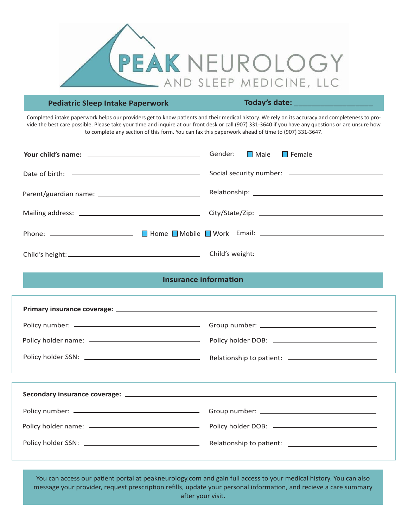

## **Pediatric Sleep Intake Paperwork**  Today's date:

Completed intake paperwork helps our providers get to know patients and their medical history. We rely on its accuracy and completeness to provide the best care possible. Please take your time and inquire at our front desk or call (907) 331-3640 if you have any questions or are unsure how to complete any section of this form. You can fax this paperwork ahead of time to (907) 331-3647.

| Gender: <b>■</b> Male ■ Female |
|--------------------------------|
|                                |
|                                |
|                                |
|                                |
|                                |

## **Insurance information**

You can access our patient portal at peakneurology.com and gain full access to your medical history. You can also message your provider, request prescription refills, update your personal information, and recieve a care summary after your visit.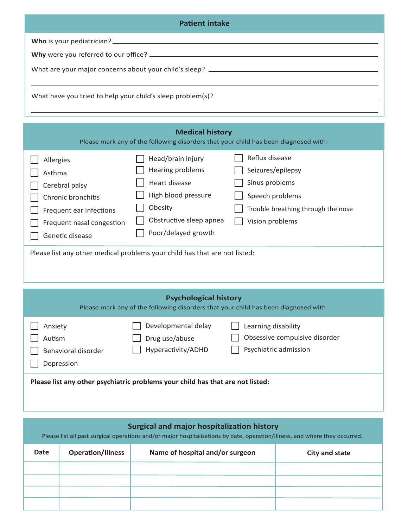| <b>Patient intake</b> |  |  |
|-----------------------|--|--|
|                       |  |  |
|                       |  |  |
|                       |  |  |
|                       |  |  |

| <b>Medical history</b><br>Please mark any of the following disorders that your child has been diagnosed with:                          |                                                                                                                                            |                                                                                                                                   |  |  |  |
|----------------------------------------------------------------------------------------------------------------------------------------|--------------------------------------------------------------------------------------------------------------------------------------------|-----------------------------------------------------------------------------------------------------------------------------------|--|--|--|
| Allergies<br>Asthma<br>Cerebral palsy<br>Chronic bronchitis<br>Frequent ear infections<br>Frequent nasal congestion<br>Genetic disease | Head/brain injury<br>Hearing problems<br>Heart disease<br>High blood pressure<br>Obesity<br>Obstructive sleep apnea<br>Poor/delayed growth | Reflux disease<br>Seizures/epilepsy<br>Sinus problems<br>Speech problems<br>Trouble breathing through the nose<br>Vision problems |  |  |  |
| Please list any other medical problems your child has that are not listed:                                                             |                                                                                                                                            |                                                                                                                                   |  |  |  |
| <b>Psychological history</b><br>Please mark any of the following disorders that your child has been diagnosed with:                    |                                                                                                                                            |                                                                                                                                   |  |  |  |
| Anxiety<br>Autism<br>Behavioral disorder<br>Depression                                                                                 | Developmental delay<br>Drug use/abuse<br>Hyperactivity/ADHD                                                                                | Learning disability<br>Obsessive compulsive disorder<br>Psychiatric admission                                                     |  |  |  |

**Please list any other psychiatric problems your child has that are not listed:** 

## **Surgical and major hospitalization history**

Please list all past surgical operations and/or major hospitalizations by date, operation/illness, and where they occurred.

| Date | <b>Operation/Illness</b> | Name of hospital and/or surgeon | City and state |
|------|--------------------------|---------------------------------|----------------|
|      |                          |                                 |                |
|      |                          |                                 |                |
|      |                          |                                 |                |
|      |                          |                                 |                |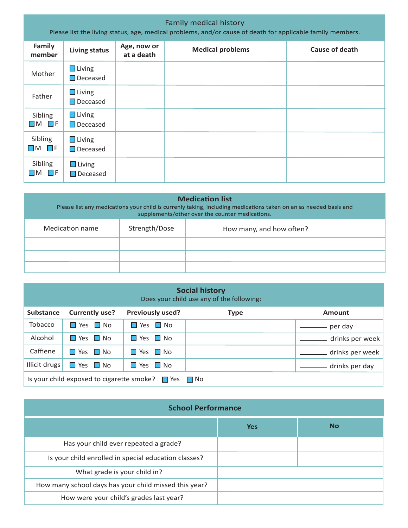| <b>Family medical history</b><br>Please list the living status, age, medical problems, and/or cause of death for applicable family members. |                                  |                           |                         |                |
|---------------------------------------------------------------------------------------------------------------------------------------------|----------------------------------|---------------------------|-------------------------|----------------|
| <b>Family</b><br>member                                                                                                                     | <b>Living status</b>             | Age, now or<br>at a death | <b>Medical problems</b> | Cause of death |
| Mother                                                                                                                                      | $\Box$ Living<br>$\Box$ Deceased |                           |                         |                |
| Father                                                                                                                                      | $\Box$ Living<br>$\Box$ Deceased |                           |                         |                |
| Sibling<br>$\Box$ M $\Box$ F                                                                                                                | $\Box$ Living<br>$\Box$ Deceased |                           |                         |                |
| Sibling<br>$\Box$ M $\Box$ F                                                                                                                | $\Box$ Living<br>$\Box$ Deceased |                           |                         |                |
| Sibling<br>$\Box$ M $\Box$ F                                                                                                                | $\Box$ Living<br>$\Box$ Deceased |                           |                         |                |

| <b>Medication list</b><br>Please list any medications your child is currenly taking, including medications taken on an as needed basis and<br>supplements/other over the counter medications. |  |  |  |  |  |
|-----------------------------------------------------------------------------------------------------------------------------------------------------------------------------------------------|--|--|--|--|--|
| Strength/Dose<br>Medication name<br>How many, and how often?                                                                                                                                  |  |  |  |  |  |
|                                                                                                                                                                                               |  |  |  |  |  |
|                                                                                                                                                                                               |  |  |  |  |  |
|                                                                                                                                                                                               |  |  |  |  |  |

| <b>Social history</b><br>Does your child use any of the following: |                                      |                         |             |                 |
|--------------------------------------------------------------------|--------------------------------------|-------------------------|-------------|-----------------|
| <b>Substance</b>                                                   | <b>Currently use?</b>                | <b>Previously used?</b> | <b>Type</b> | Amount          |
| Tobacco                                                            | $\blacksquare$ Yes $\blacksquare$ No | $\Box$ Yes $\Box$ No    |             | per day         |
| Alcohol                                                            | $\Box$ Yes $\Box$ No                 | $\Box$ Yes $\Box$ No    |             | drinks per week |
| Caffiene                                                           | $\Box$ Yes $\Box$ No                 | $\Box$ Yes $\Box$ No    |             | drinks per week |
| Illicit drugs                                                      | Yes $\Box$ No<br>$\mathbf{L}$        | $\Box$ Yes $\Box$ No    |             | drinks per day  |
| Is your child exposed to cigarette smoke? $\Box$ Yes<br>I No       |                                      |                         |             |                 |

| <b>School Performance</b>                             |            |           |  |
|-------------------------------------------------------|------------|-----------|--|
|                                                       | <b>Yes</b> | <b>No</b> |  |
| Has your child ever repeated a grade?                 |            |           |  |
| Is your child enrolled in special education classes?  |            |           |  |
| What grade is your child in?                          |            |           |  |
| How many school days has your child missed this year? |            |           |  |
| How were your child's grades last year?               |            |           |  |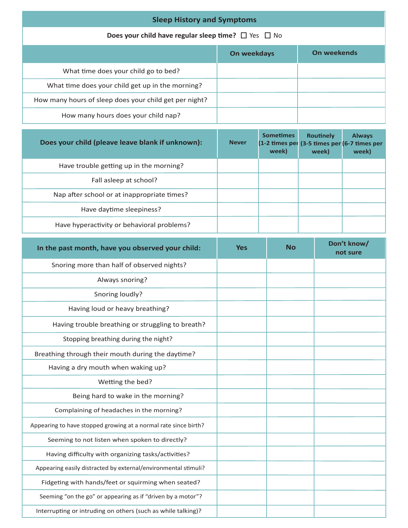| <b>Sleep History and Symptoms</b>                                    |  |  |  |  |
|----------------------------------------------------------------------|--|--|--|--|
| <b>Does your child have regular sleep time?</b> $\Box$ Yes $\Box$ No |  |  |  |  |
| On weekends<br>On weekdays                                           |  |  |  |  |
| What time does your child go to bed?                                 |  |  |  |  |
| What time does your child get up in the morning?                     |  |  |  |  |
| How many hours of sleep does your child get per night?               |  |  |  |  |
| How many hours does your child nap?                                  |  |  |  |  |

| Does your child (pleave leave blank if unknown): | <b>Never</b> | <b>Sometimes</b><br>(1-2 times per<br>week) | <b>Routinely</b><br>(3-5 times per (6-7 times per<br>week) | <b>Always</b><br>week) |
|--------------------------------------------------|--------------|---------------------------------------------|------------------------------------------------------------|------------------------|
| Have trouble getting up in the morning?          |              |                                             |                                                            |                        |
| Fall asleep at school?                           |              |                                             |                                                            |                        |
| Nap after school or at inappropriate times?      |              |                                             |                                                            |                        |
| Have daytime sleepiness?                         |              |                                             |                                                            |                        |
| Have hyperactivity or behavioral problems?       |              |                                             |                                                            |                        |

| In the past month, have you observed your child:                | <b>Yes</b> | <b>No</b> | Don't know/<br>not sure |
|-----------------------------------------------------------------|------------|-----------|-------------------------|
| Snoring more than half of observed nights?                      |            |           |                         |
| Always snoring?                                                 |            |           |                         |
| Snoring loudly?                                                 |            |           |                         |
| Having loud or heavy breathing?                                 |            |           |                         |
| Having trouble breathing or struggling to breath?               |            |           |                         |
| Stopping breathing during the night?                            |            |           |                         |
| Breathing through their mouth during the daytime?               |            |           |                         |
| Having a dry mouth when waking up?                              |            |           |                         |
| Wetting the bed?                                                |            |           |                         |
| Being hard to wake in the morning?                              |            |           |                         |
| Complaining of headaches in the morning?                        |            |           |                         |
| Appearing to have stopped growing at a normal rate since birth? |            |           |                         |
| Seeming to not listen when spoken to directly?                  |            |           |                         |
| Having difficulty with organizing tasks/activities?             |            |           |                         |
| Appearing easily distracted by external/environmental stimuli?  |            |           |                         |
| Fidgeting with hands/feet or squirming when seated?             |            |           |                         |
| Seeming "on the go" or appearing as if "driven by a motor"?     |            |           |                         |
| Interrupting or intruding on others (such as while talking)?    |            |           |                         |